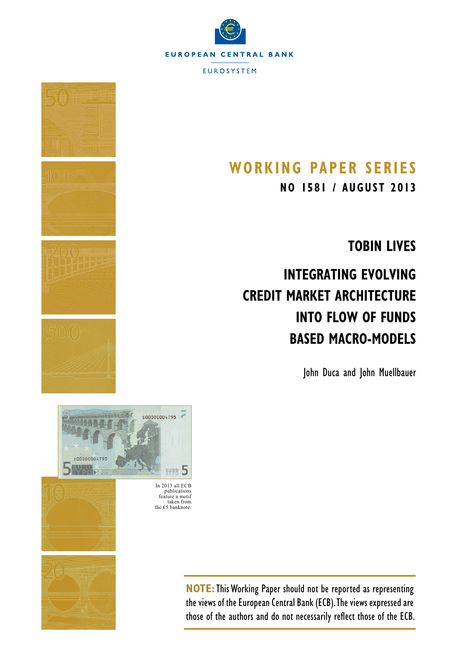



## **Working Paper SerieS**

**NO 1581 / augus t 2013**

## **Tobin LIVES**

# **Integrating evolving credit market architecture into flow of funds based macro-models**

John Duca and John Muellbauer



In 2013 all ECB publications feature a motif taken from the  $€5$  banknote.



**NOTE:**This Working Paper should not be reported as representing the views of the European Central Bank (ECB). The views expressed are those of the authors and do not necessarily reflect those of the ECB.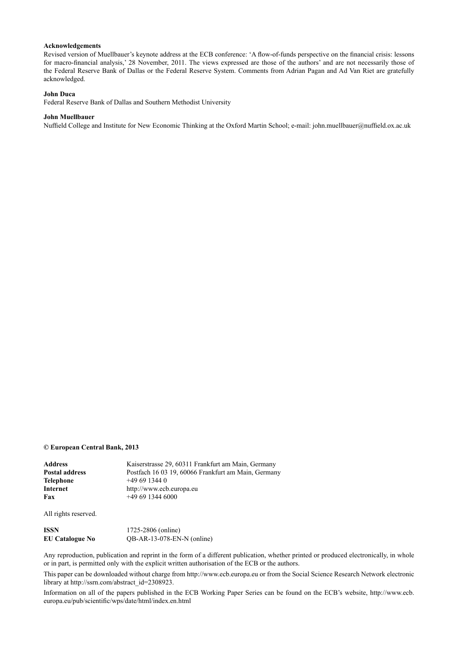#### **Acknowledgements**

Revised version of Muellbauer's keynote address at the ECB conference: 'A flow-of-funds perspective on the financial crisis: lessons for macro-financial analysis,' 28 November, 2011. The views expressed are those of the authors' and are not necessarily those of the Federal Reserve Bank of Dallas or the Federal Reserve System. Comments from Adrian Pagan and Ad Van Riet are gratefully acknowledged.

#### **John Duca**

[Federal Reserve Bank of Dallas](http://www.dallasfed.org/) and [Southern Methodist University](http://www.smu.edu/)

#### **John Muellbauer**

[Nuffield College](http://www.nuffield.ox.ac.uk/pages/default.aspx) and [Institute for New Economic Thinking at the Oxford Martin School;](http://www.oxfordmartin.ox.ac.uk/institutes/inet_oxford) e-mail: [john.muellbauer@nuffield.ox.ac.uk](mailto:john.muellbauer%40nuffield.ox.ac.uk?subject=)

#### **© European Central Bank, 2013**

| Address        | Kaiserstrasse 29, 60311 Frankfurt am Main, Germany  |
|----------------|-----------------------------------------------------|
| Postal address | Postfach 16 03 19, 60066 Frankfurt am Main, Germany |
| Telephone      | $+496913440$                                        |
| Internet       | http://www.ecb.europa.eu                            |
| Fax            | $+496913446000$                                     |
|                |                                                     |

All rights reserved.

| ISSN                   | 1725-2806 (online)           |
|------------------------|------------------------------|
| <b>EU Catalogue No</b> | $QB-AR-13-078-EN-N$ (online) |

Any reproduction, publication and reprint in the form of a different publication, whether printed or produced electronically, in whole or in part, is permitted only with the explicit written authorisation of the ECB or the authors.

This paper can be downloaded without charge from http://www.ecb.europa.eu or from the Social Science Research Network electronic library at http://ssrn.com/abstract\_id=2308923.

Information on all of the papers published in the ECB Working Paper Series can be found on the ECB's website, [http://www.ecb.](http://www.ecb.europa.eu/pub/scientific/wps/date/html/index.en.html) [europa.eu/pub/scientific/wps/date/html/index.en.html](http://www.ecb.europa.eu/pub/scientific/wps/date/html/index.en.html)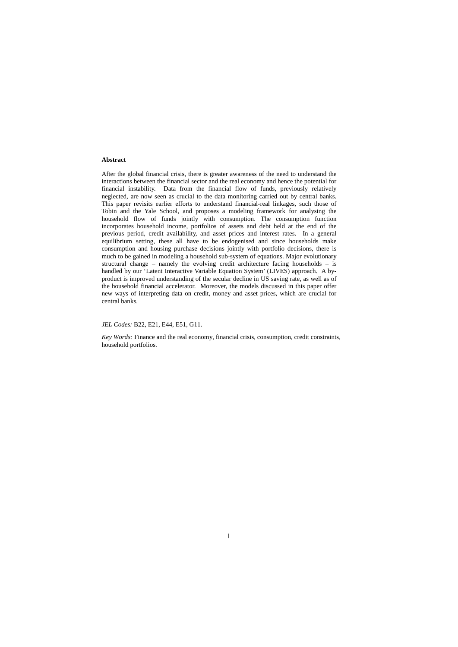#### **Abstract**

After the global financial crisis, there is greater awareness of the need to understand the interactions between the financial sector and the real economy and hence the potential for financial instability. Data from the financial flow of funds, previously relatively neglected, are now seen as crucial to the data monitoring carried out by central banks. This paper revisits earlier efforts to understand financial-real linkages, such those of Tobin and the Yale School, and proposes a modeling framework for analysing the household flow of funds jointly with consumption. The consumption function incorporates household income, portfolios of assets and debt held at the end of the previous period, credit availability, and asset prices and interest rates. In a general equilibrium setting, these all have to be endogenised and since households make consumption and housing purchase decisions jointly with portfolio decisions, there is much to be gained in modeling a household sub-system of equations. Major evolutionary structural change – namely the evolving credit architecture facing households – is handled by our 'Latent Interactive Variable Equation System' (LIVES) approach. A byproduct is improved understanding of the secular decline in US saving rate, as well as of the household financial accelerator. Moreover, the models discussed in this paper offer new ways of interpreting data on credit, money and asset prices, which are crucial for central banks.

#### *JEL Codes:* B22, E21, E44, E51, G11.

*Key Words:* Finance and the real economy, financial crisis, consumption, credit constraints, household portfolios.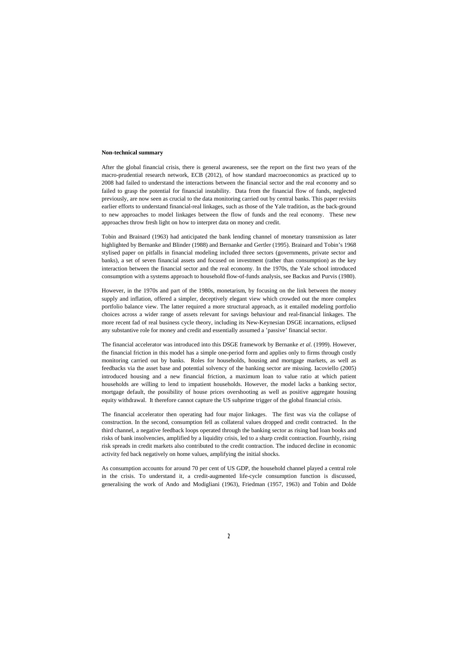#### **Non-technical summary**

After the global financial crisis, there is general awareness, see the report on the first two years of the macro-prudential research network, ECB (2012), of how standard macroeconomics as practiced up to 2008 had failed to understand the interactions between the financial sector and the real economy and so failed to grasp the potential for financial instability. Data from the financial flow of funds, neglected previously, are now seen as crucial to the data monitoring carried out by central banks. This paper revisits earlier efforts to understand financial-real linkages, such as those of the Yale tradition, as the back-ground to new approaches to model linkages between the flow of funds and the real economy. These new approaches throw fresh light on how to interpret data on money and credit.

Tobin and Brainard (1963) had anticipated the bank lending channel of monetary transmission as later highlighted by Bernanke and Blinder (1988) and Bernanke and Gertler (1995). Brainard and Tobin's 1968 stylised paper on pitfalls in financial modeling included three sectors (governments, private sector and banks), a set of seven financial assets and focused on investment (rather than consumption) as the key interaction between the financial sector and the real economy. In the 1970s, the Yale school introduced consumption with a systems approach to household flow-of-funds analysis, see Backus and Purvis (1980).

However, in the 1970s and part of the 1980s, monetarism, by focusing on the link between the money supply and inflation, offered a simpler, deceptively elegant view which crowded out the more complex portfolio balance view. The latter required a more structural approach, as it entailed modeling portfolio choices across a wider range of assets relevant for savings behaviour and real-financial linkages. The more recent fad of real business cycle theory, including its New-Keynesian DSGE incarnations, eclipsed any substantive role for money and credit and essentially assumed a 'passive' financial sector.

The financial accelerator was introduced into this DSGE framework by Bernanke *et al*. (1999). However, the financial friction in this model has a simple one-period form and applies only to firms through costly monitoring carried out by banks. Roles for households, housing and mortgage markets, as well as feedbacks via the asset base and potential solvency of the banking sector are missing. Iacoviello (2005) introduced housing and a new financial friction, a maximum loan to value ratio at which patient households are willing to lend to impatient households. However, the model lacks a banking sector, mortgage default, the possibility of house prices overshooting as well as positive aggregate housing equity withdrawal. It therefore cannot capture the US subprime trigger of the global financial crisis.

The financial accelerator then operating had four major linkages. The first was via the collapse of construction. In the second, consumption fell as collateral values dropped and credit contracted. In the third channel, a negative feedback loops operated through the banking sector as rising bad loan books and risks of bank insolvencies, amplified by a liquidity crisis, led to a sharp credit contraction. Fourthly, rising risk spreads in credit markets also contributed to the credit contraction. The induced decline in economic activity fed back negatively on home values, amplifying the initial shocks.

As consumption accounts for around 70 per cent of US GDP, the household channel played a central role in the crisis. To understand it, a credit-augmented life-cycle consumption function is discussed, generalising the work of Ando and Modigliani (1963), Friedman (1957, 1963) and Tobin and Dolde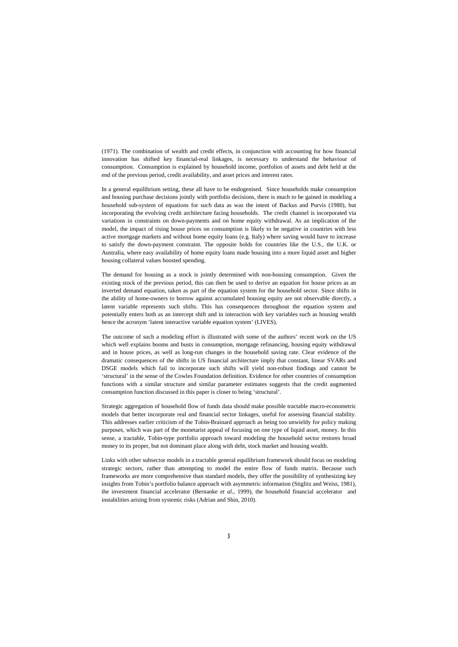(1971). The combination of wealth and credit effects, in conjunction with accounting for how financial innovation has shifted key financial-real linkages, is necessary to understand the behaviour of consumption. Consumption is explained by household income, portfolios of assets and debt held at the end of the previous period, credit availability, and asset prices and interest rates.

In a general equilibrium setting, these all have to be endogenised. Since households make consumption and housing purchase decisions jointly with portfolio decisions, there is much to be gained in modeling a household sub-system of equations for such data as was the intent of Backus and Purvis (1980), but incorporating the evolving credit architecture facing households. The credit channel is incorporated via variations in constraints on down-payments and on home equity withdrawal. As an implication of the model, the impact of rising house prices on consumption is likely to be negative in countries with less active mortgage markets and without home equity loans (e.g. Italy) where saving would have to increase to satisfy the down-payment constraint. The opposite holds for countries like the U.S., the U.K. or Australia, where easy availability of home equity loans made housing into a more liquid asset and higher housing collateral values boosted spending.

The demand for housing as a stock is jointly determined with non-housing consumption. Given the existing stock of the previous period, this can then be used to derive an equation for house prices as an inverted demand equation, taken as part of the equation system for the household sector. Since shifts in the ability of home-owners to borrow against accumulated housing equity are not observable directly, a latent variable represents such shifts. This has consequences throughout the equation system and potentially enters both as an intercept shift and in interaction with key variables such as housing wealth hence the acronym 'latent interactive variable equation system' (LIVES).

The outcome of such a modeling effort is illustrated with some of the authors' recent work on the US which well explains booms and busts in consumption, mortgage refinancing, housing equity withdrawal and in house prices, as well as long-run changes in the household saving rate. Clear evidence of the dramatic consequences of the shifts in US financial architecture imply that constant, linear SVARs and DSGE models which fail to incorporate such shifts will yield non-robust findings and cannot be 'structural' in the sense of the Cowles Foundation definition. Evidence for other countries of consumption functions with a similar structure and similar parameter estimates suggests that the credit augmented consumption function discussed in this paper is closer to being 'structural'.

Strategic aggregation of household flow of funds data should make possible tractable macro-econometric models that better incorporate real and financial sector linkages, useful for assessing financial stability. This addresses earlier criticism of the Tobin-Brainard approach as being too unwieldy for policy making purposes, which was part of the monetarist appeal of focusing on one type of liquid asset, money. In this sense, a tractable, Tobin-type portfolio approach toward modeling the household sector restores broad money to its proper, but not dominant place along with debt, stock market and housing wealth.

Links with other subsector models in a tractable general equilibrium framework should focus on modeling strategic sectors, rather than attempting to model the entire flow of funds matrix. Because such frameworks are more comprehensive than standard models, they offer the possibility of synthesizing key insights from Tobin's portfolio balance approach with asymmetric information (Stiglitz and Weiss, 1981), the investment financial accelerator (Bernanke *et al*., 1999), the household financial accelerator and instabilities arising from systemic risks (Adrian and Shin, 2010).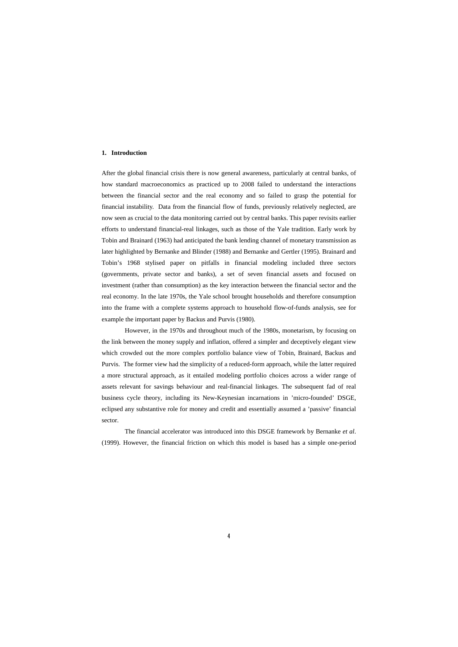#### **1. Introduction**

After the global financial crisis there is now general awareness, particularly at central banks, of how standard macroeconomics as practiced up to 2008 failed to understand the interactions between the financial sector and the real economy and so failed to grasp the potential for financial instability. Data from the financial flow of funds, previously relatively neglected, are now seen as crucial to the data monitoring carried out by central banks. This paper revisits earlier efforts to understand financial-real linkages, such as those of the Yale tradition. Early work by Tobin and Brainard (1963) had anticipated the bank lending channel of monetary transmission as later highlighted by Bernanke and Blinder (1988) and Bernanke and Gertler (1995). Brainard and Tobin's 1968 stylised paper on pitfalls in financial modeling included three sectors (governments, private sector and banks), a set of seven financial assets and focused on investment (rather than consumption) as the key interaction between the financial sector and the real economy. In the late 1970s, the Yale school brought households and therefore consumption into the frame with a complete systems approach to household flow-of-funds analysis, see for example the important paper by Backus and Purvis (1980).

However, in the 1970s and throughout much of the 1980s, monetarism, by focusing on the link between the money supply and inflation, offered a simpler and deceptively elegant view which crowded out the more complex portfolio balance view of Tobin, Brainard, Backus and Purvis. The former view had the simplicity of a reduced-form approach, while the latter required a more structural approach, as it entailed modeling portfolio choices across a wider range of assets relevant for savings behaviour and real-financial linkages. The subsequent fad of real business cycle theory, including its New-Keynesian incarnations in 'micro-founded' DSGE, eclipsed any substantive role for money and credit and essentially assumed a 'passive' financial sector.

The financial accelerator was introduced into this DSGE framework by Bernanke *et al*. (1999). However, the financial friction on which this model is based has a simple one-period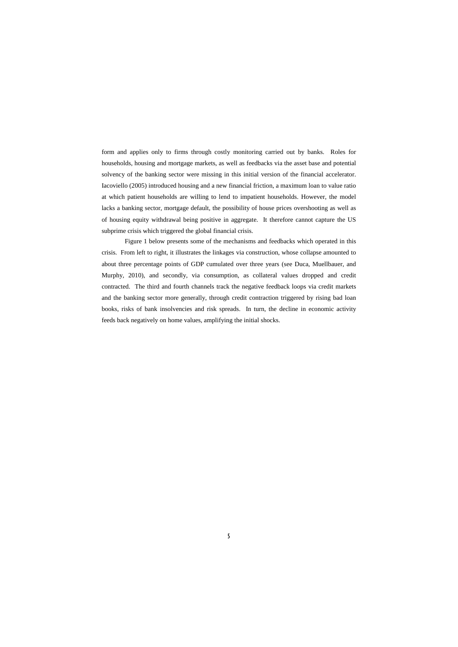form and applies only to firms through costly monitoring carried out by banks. Roles for households, housing and mortgage markets, as well as feedbacks via the asset base and potential solvency of the banking sector were missing in this initial version of the financial accelerator. Iacoviello (2005) introduced housing and a new financial friction, a maximum loan to value ratio at which patient households are willing to lend to impatient households. However, the model lacks a banking sector, mortgage default, the possibility of house prices overshooting as well as of housing equity withdrawal being positive in aggregate. It therefore cannot capture the US subprime crisis which triggered the global financial crisis.

Figure 1 below presents some of the mechanisms and feedbacks which operated in this crisis. From left to right, it illustrates the linkages via construction, whose collapse amounted to about three percentage points of GDP cumulated over three years (see Duca, Muellbauer, and Murphy, 2010), and secondly, via consumption, as collateral values dropped and credit contracted. The third and fourth channels track the negative feedback loops via credit markets and the banking sector more generally, through credit contraction triggered by rising bad loan books, risks of bank insolvencies and risk spreads. In turn, the decline in economic activity feeds back negatively on home values, amplifying the initial shocks.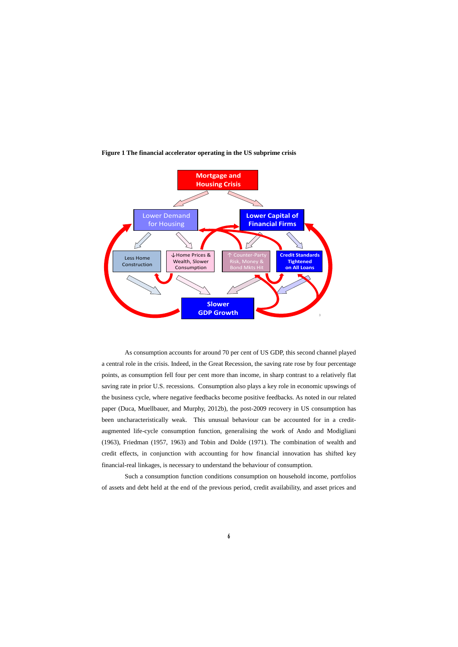

Figure 1 The financial accelerator operating in the US subprime crisis

As consumption accounts for around 70 per cent of US GDP, this second channel played a central role in the crisis. Indeed, in the Great Recession, the saving rate rose by four percentage points, as consumption fell four per cent more than income, in sharp contrast to a relatively flat saving rate in prior U.S. recessions. Consumption also plays a key role in economic upswings of the business cycle, where negative feedbacks become positive feedbacks. As noted in our related paper (Duca, Muellbauer, and Murphy, 2012b), the post-2009 recovery in US consumption has been uncharacteristically weak. This unusual behaviour can be accounted for in a creditaugmented life-cycle consumption function, generalising the work of Ando and Modigliani (1963), Friedman (1957, 1963) and Tobin and Dolde (1971). The combination of wealth and credit effects, in conjunction with accounting for how financial innovation has shifted key financial-real linkages, is necessary to understand the behaviour of consumption.

Such a consumption function conditions consumption on household income, portfolios of assets and debt held at the end of the previous period, credit availability, and asset prices and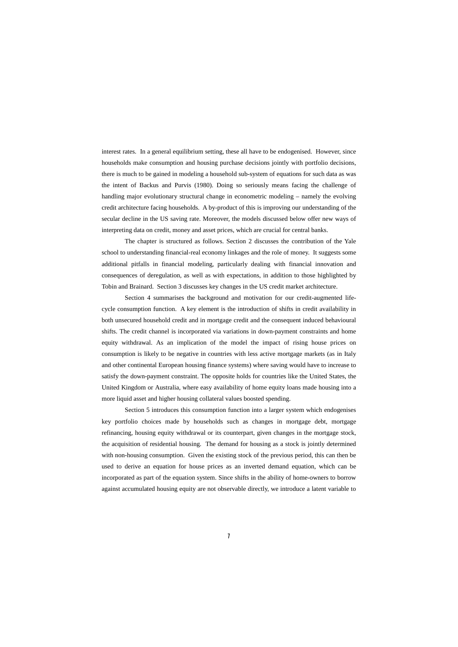interest rates. In a general equilibrium setting, these all have to be endogenised. However, since households make consumption and housing purchase decisions jointly with portfolio decisions, there is much to be gained in modeling a household sub-system of equations for such data as was the intent of Backus and Purvis (1980). Doing so seriously means facing the challenge of handling major evolutionary structural change in econometric modeling – namely the evolving credit architecture facing households. A by-product of this is improving our understanding of the secular decline in the US saving rate. Moreover, the models discussed below offer new ways of interpreting data on credit, money and asset prices, which are crucial for central banks.

The chapter is structured as follows. Section 2 discusses the contribution of the Yale school to understanding financial-real economy linkages and the role of money. It suggests some additional pitfalls in financial modeling, particularly dealing with financial innovation and consequences of deregulation, as well as with expectations, in addition to those highlighted by Tobin and Brainard. Section 3 discusses key changes in the US credit market architecture.

Section 4 summarises the background and motivation for our credit-augmented lifecycle consumption function. A key element is the introduction of shifts in credit availability in both unsecured household credit and in mortgage credit and the consequent induced behavioural shifts. The credit channel is incorporated via variations in down-payment constraints and home equity withdrawal. As an implication of the model the impact of rising house prices on consumption is likely to be negative in countries with less active mortgage markets (as in Italy and other continental European housing finance systems) where saving would have to increase to satisfy the down-payment constraint. The opposite holds for countries like the United States, the United Kingdom or Australia, where easy availability of home equity loans made housing into a more liquid asset and higher housing collateral values boosted spending.

Section 5 introduces this consumption function into a larger system which endogenises key portfolio choices made by households such as changes in mortgage debt, mortgage refinancing, housing equity withdrawal or its counterpart, given changes in the mortgage stock, the acquisition of residential housing. The demand for housing as a stock is jointly determined with non-housing consumption. Given the existing stock of the previous period, this can then be used to derive an equation for house prices as an inverted demand equation, which can be incorporated as part of the equation system. Since shifts in the ability of home-owners to borrow against accumulated housing equity are not observable directly, we introduce a latent variable to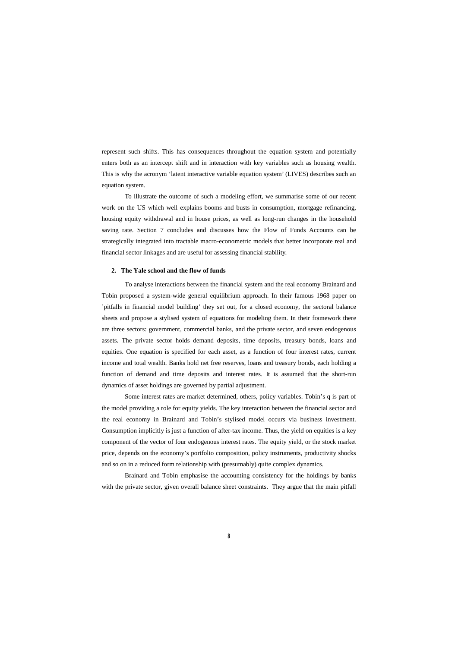represent such shifts. This has consequences throughout the equation system and potentially enters both as an intercept shift and in interaction with key variables such as housing wealth. This is why the acronym 'latent interactive variable equation system' (LIVES) describes such an equation system.

To illustrate the outcome of such a modeling effort, we summarise some of our recent work on the US which well explains booms and busts in consumption, mortgage refinancing, housing equity withdrawal and in house prices, as well as long-run changes in the household saving rate. Section 7 concludes and discusses how the Flow of Funds Accounts can be strategically integrated into tractable macro-econometric models that better incorporate real and financial sector linkages and are useful for assessing financial stability.

#### **2. The Yale school and the flow of funds**

To analyse interactions between the financial system and the real economy Brainard and Tobin proposed a system-wide general equilibrium approach. In their famous 1968 paper on 'pitfalls in financial model building' they set out, for a closed economy, the sectoral balance sheets and propose a stylised system of equations for modeling them. In their framework there are three sectors: government, commercial banks, and the private sector, and seven endogenous assets. The private sector holds demand deposits, time deposits, treasury bonds, loans and equities. One equation is specified for each asset, as a function of four interest rates, current income and total wealth. Banks hold net free reserves, loans and treasury bonds, each holding a function of demand and time deposits and interest rates. It is assumed that the short-run dynamics of asset holdings are governed by partial adjustment.

Some interest rates are market determined, others, policy variables. Tobin's q is part of the model providing a role for equity yields. The key interaction between the financial sector and the real economy in Brainard and Tobin's stylised model occurs via business investment. Consumption implicitly is just a function of after-tax income. Thus, the yield on equities is a key component of the vector of four endogenous interest rates. The equity yield, or the stock market price, depends on the economy's portfolio composition, policy instruments, productivity shocks and so on in a reduced form relationship with (presumably) quite complex dynamics.

Brainard and Tobin emphasise the accounting consistency for the holdings by banks with the private sector, given overall balance sheet constraints. They argue that the main pitfall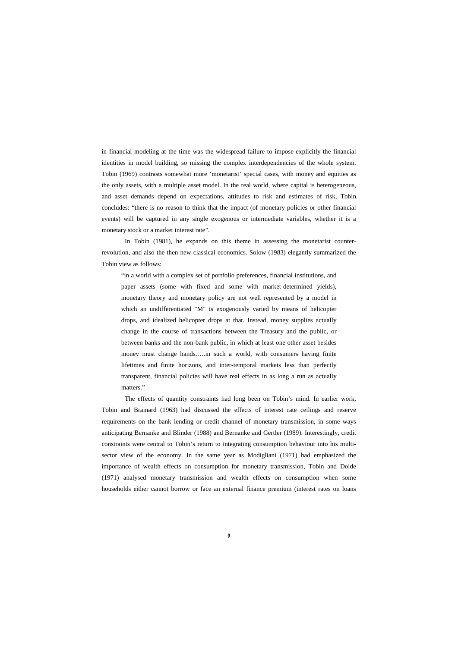in financial modeling at the time was the widespread failure to impose explicitly the financial identities in model building, so missing the complex interdependencies of the whole system. Tobin (1969) contrasts somewhat more 'monetarist' special cases, with money and equities as the only assets, with a multiple asset model. In the real world, where capital is heterogeneous, and asset demands depend on expectations, attitudes to risk and estimates of risk, Tobin concludes: "there is no reason to think that the impact (of monetary policies or other financial events) will be captured in any single exogenous or intermediate variables, whether it is a monetary stock or a market interest rate".

In Tobin (1981), he expands on this theme in assessing the monetarist counterrevolution, and also the then new classical economics. Solow (1983) elegantly summarized the Tobin view as follows:

"in a world with a complex set of portfolio preferences, financial institutions, and paper assets (some with fixed and some with market-determined yields), monetary theory and monetary policy are not well represented by a model in which an undifferentiated "M" is exogenously varied by means of helicopter drops, and idealized helicopter drops at that. Instead, money supplies actually change in the course of transactions between the Treasury and the public, or between banks and the non-bank public, in which at least one other asset besides money must change hands.….in such a world, with consumers having finite lifetimes and finite horizons, and inter-temporal markets less than perfectly transparent, financial policies will have real effects in as long a run as actually matters."

The effects of quantity constraints had long been on Tobin's mind. In earlier work, Tobin and Brainard (1963) had discussed the effects of interest rate ceilings and reserve requirements on the bank lending or credit channel of monetary transmission, in some ways anticipating Bernanke and Blinder (1988) and Bernanke and Gertler (1989). Interestingly, credit constraints were central to Tobin's return to integrating consumption behaviour into his multisector view of the economy. In the same year as Modigliani (1971) had emphasized the importance of wealth effects on consumption for monetary transmission, Tobin and Dolde (1971) analysed monetary transmission and wealth effects on consumption when some households either cannot borrow or face an external finance premium (interest rates on loans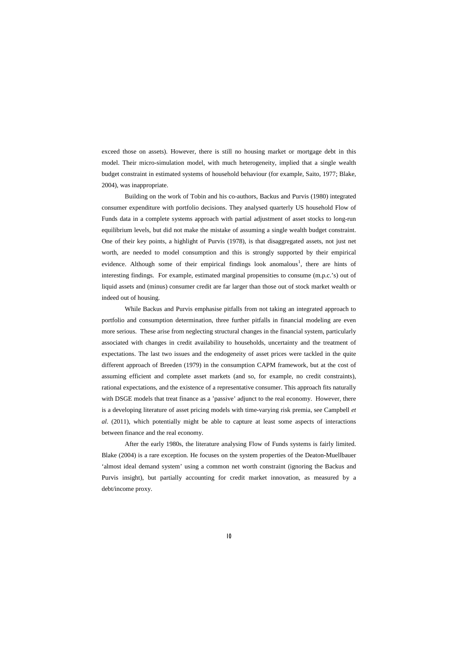exceed those on assets). However, there is still no housing market or mortgage debt in this model. Their micro-simulation model, with much heterogeneity, implied that a single wealth budget constraint in estimated systems of household behaviour (for example, Saito, 1977; Blake, 2004), was inappropriate.

Building on the work of Tobin and his co-authors, Backus and Purvis (1980) integrated consumer expenditure with portfolio decisions. They analysed quarterly US household Flow of Funds data in a complete systems approach with partial adjustment of asset stocks to long-run equilibrium levels, but did not make the mistake of assuming a single wealth budget constraint. One of their key points, a highlight of Purvis (1978), is that disaggregated assets, not just net worth, are needed to model consumption and this is strongly supported by their empirical evidence. Although some of their empirical findings look anomalous<sup>[1](#page-31-0)</sup>, there are hints of interesting findings. For example, estimated marginal propensities to consume (m.p.c.'s) out of liquid assets and (minus) consumer credit are far larger than those out of stock market wealth or indeed out of housing.

While Backus and Purvis emphasise pitfalls from not taking an integrated approach to portfolio and consumption determination, three further pitfalls in financial modeling are even more serious. These arise from neglecting structural changes in the financial system, particularly associated with changes in credit availability to households, uncertainty and the treatment of expectations. The last two issues and the endogeneity of asset prices were tackled in the quite different approach of Breeden (1979) in the consumption CAPM framework, but at the cost of assuming efficient and complete asset markets (and so, for example, no credit constraints), rational expectations, and the existence of a representative consumer. This approach fits naturally with DSGE models that treat finance as a 'passive' adjunct to the real economy. However, there is a developing literature of asset pricing models with time-varying risk premia, see Campbell *et al*. (2011), which potentially might be able to capture at least some aspects of interactions between finance and the real economy.

After the early 1980s, the literature analysing Flow of Funds systems is fairly limited. Blake (2004) is a rare exception. He focuses on the system properties of the Deaton-Muellbauer 'almost ideal demand system' using a common net worth constraint (ignoring the Backus and Purvis insight), but partially accounting for credit market innovation, as measured by a debt/income proxy.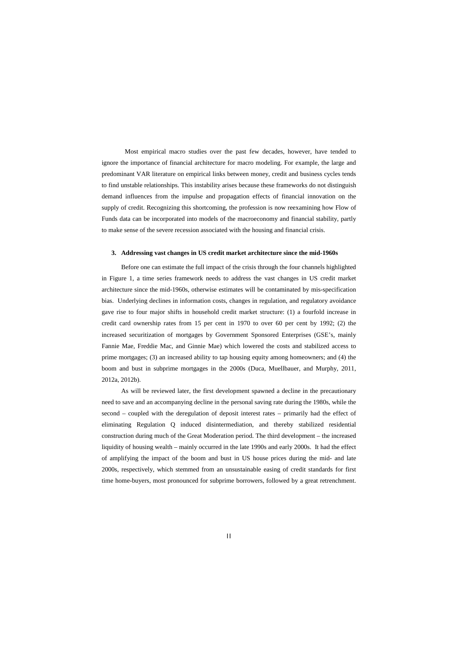Most empirical macro studies over the past few decades, however, have tended to ignore the importance of financial architecture for macro modeling. For example, the large and predominant VAR literature on empirical links between money, credit and business cycles tends to find unstable relationships. This instability arises because these frameworks do not distinguish demand influences from the impulse and propagation effects of financial innovation on the supply of credit. Recognizing this shortcoming, the profession is now reexamining how Flow of Funds data can be incorporated into models of the macroeconomy and financial stability, partly to make sense of the severe recession associated with the housing and financial crisis.

#### **3. Addressing vast changes in US credit market architecture since the mid-1960s**

Before one can estimate the full impact of the crisis through the four channels highlighted in Figure 1, a time series framework needs to address the vast changes in US credit market architecture since the mid-1960s, otherwise estimates will be contaminated by mis-specification bias. Underlying declines in information costs, changes in regulation, and regulatory avoidance gave rise to four major shifts in household credit market structure: (1) a fourfold increase in credit card ownership rates from 15 per cent in 1970 to over 60 per cent by 1992; (2) the increased securitization of mortgages by Government Sponsored Enterprises (GSE's, mainly Fannie Mae, Freddie Mac, and Ginnie Mae) which lowered the costs and stabilized access to prime mortgages; (3) an increased ability to tap housing equity among homeowners; and (4) the boom and bust in subprime mortgages in the 2000s (Duca, Muellbauer, and Murphy, 2011, 2012a, 2012b).

As will be reviewed later, the first development spawned a decline in the precautionary need to save and an accompanying decline in the personal saving rate during the 1980s, while the second – coupled with the deregulation of deposit interest rates – primarily had the effect of eliminating Regulation Q induced disintermediation, and thereby stabilized residential construction during much of the Great Moderation period. The third development – the increased liquidity of housing wealth – mainly occurred in the late 1990s and early 2000s. It had the effect of amplifying the impact of the boom and bust in US house prices during the mid- and late 2000s, respectively, which stemmed from an unsustainable easing of credit standards for first time home-buyers, most pronounced for subprime borrowers, followed by a great retrenchment.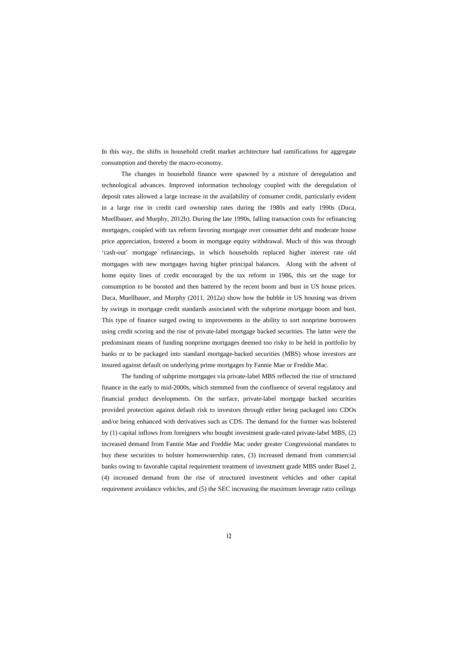In this way, the shifts in household credit market architecture had ramifications for aggregate consumption and thereby the macro-economy.

The changes in household finance were spawned by a mixture of deregulation and technological advances. Improved information technology coupled with the deregulation of deposit rates allowed a large increase in the availability of consumer credit, particularly evident in a large rise in credit card ownership rates during the 1980s and early 1990s (Duca, Muellbauer, and Murphy, 2012b). During the late 1990s, falling transaction costs for refinancing mortgages, coupled with tax reform favoring mortgage over consumer debt and moderate house price appreciation, fostered a boom in mortgage equity withdrawal. Much of this was through 'cash-out' mortgage refinancings, in which households replaced higher interest rate old mortgages with new mortgages having higher principal balances. Along with the advent of home equity lines of credit encouraged by the tax reform in 1986, this set the stage for consumption to be boosted and then battered by the recent boom and bust in US house prices. Duca, Muellbauer, and Murphy (2011, 2012a) show how the bubble in US housing was driven by swings in mortgage credit standards associated with the subprime mortgage boom and bust. This type of finance surged owing to improvements in the ability to sort nonprime borrowers using credit scoring and the rise of private-label mortgage backed securities. The latter were the predominant means of funding nonprime mortgages deemed too risky to be held in portfolio by banks or to be packaged into standard mortgage-backed securities (MBS) whose investors are insured against default on underlying prime mortgages by Fannie Mae or Freddie Mac.

The funding of subprime mortgages via private-label MBS reflected the rise of structured finance in the early to mid-2000s, which stemmed from the confluence of several regulatory and financial product developments. On the surface, private-label mortgage backed securities provided protection against default risk to investors through either being packaged into CDOs and/or being enhanced with derivatives such as CDS. The demand for the former was bolstered by (1) capital inflows from foreigners who bought investment grade-rated private-label MBS, (2) increased demand from Fannie Mae and Freddie Mac under greater Congressional mandates to buy these securities to bolster homeownership rates, (3) increased demand from commercial banks owing to favorable capital requirement treatment of investment grade MBS under Basel 2, (4) increased demand from the rise of structured investment vehicles and other capital requirement avoidance vehicles, and (5) the SEC increasing the maximum leverage ratio ceilings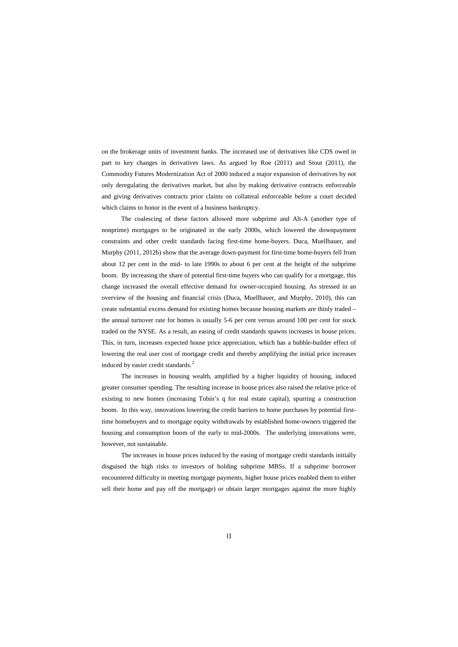on the brokerage units of investment banks. The increased use of derivatives like CDS owed in part to key changes in derivatives laws. As argued by Roe (2011) and Stout (2011), the Commodity Futures Modernization Act of 2000 induced a major expansion of derivatives by not only deregulating the derivatives market, but also by making derivative contracts enforceable and giving derivatives contracts prior claims on collateral enforceable before a court decided which claims to honor in the event of a business bankruptcy.

The coalescing of these factors allowed more subprime and Alt-A (another type of nonprime) mortgages to be originated in the early 2000s, which lowered the downpayment constraints and other credit standards facing first-time home-buyers. Duca, Muellbauer, and Murphy (2011, 2012b) show that the average down-payment for first-time home-buyers fell from about 12 per cent in the mid- to late 1990s to about 6 per cent at the height of the subprime boom. By increasing the share of potential first-time buyers who can qualify for a mortgage, this change increased the overall effective demand for owner-occupied housing. As stressed in an overview of the housing and financial crisis (Duca, Muellbauer, and Murphy, 2010), this can create substantial excess demand for existing homes because housing markets are thinly traded – the annual turnover rate for homes is usually 5-6 per cent versus around 100 per cent for stock traded on the NYSE. As a result, an easing of credit standards spawns increases in house prices. This, in turn, increases expected house price appreciation, which has a bubble-builder effect of lowering the real user cost of mortgage credit and thereby amplifying the initial price increases induced by easier credit standards. $2$ 

The increases in housing wealth, amplified by a higher liquidity of housing, induced greater consumer spending. The resulting increase in house prices also raised the relative price of existing to new homes (increasing Tobin's q for real estate capital), spurring a construction boom. In this way, innovations lowering the credit barriers to home purchases by potential firsttime homebuyers and to mortgage equity withdrawals by established home-owners triggered the housing and consumption boom of the early to mid-2000s. The underlying innovations were, however, not sustainable.

The increases in house prices induced by the easing of mortgage credit standards initially disguised the high risks to investors of holding subprime MBSs. If a subprime borrower encountered difficulty in meeting mortgage payments, higher house prices enabled them to either sell their home and pay off the mortgage) or obtain larger mortgages against the more highly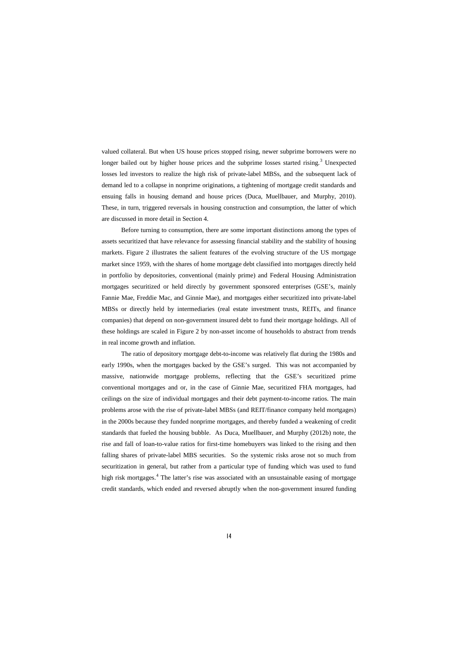valued collateral. But when US house prices stopped rising, newer subprime borrowers were no longer bailed out by higher house prices and the subprime losses started rising.<sup>[3](#page-32-0)</sup> Unexpected losses led investors to realize the high risk of private-label MBSs, and the subsequent lack of demand led to a collapse in nonprime originations, a tightening of mortgage credit standards and ensuing falls in housing demand and house prices (Duca, Muellbauer, and Murphy, 2010). These, in turn, triggered reversals in housing construction and consumption, the latter of which are discussed in more detail in Section 4.

Before turning to consumption, there are some important distinctions among the types of assets securitized that have relevance for assessing financial stability and the stability of housing markets. Figure 2 illustrates the salient features of the evolving structure of the US mortgage market since 1959, with the shares of home mortgage debt classified into mortgages directly held in portfolio by depositories, conventional (mainly prime) and Federal Housing Administration mortgages securitized or held directly by government sponsored enterprises (GSE's, mainly Fannie Mae, Freddie Mac, and Ginnie Mae), and mortgages either securitized into private-label MBSs or directly held by intermediaries (real estate investment trusts, REITs, and finance companies) that depend on non-government insured debt to fund their mortgage holdings. All of these holdings are scaled in Figure 2 by non-asset income of households to abstract from trends in real income growth and inflation.

The ratio of depository mortgage debt-to-income was relatively flat during the 1980s and early 1990s, when the mortgages backed by the GSE's surged. This was not accompanied by massive, nationwide mortgage problems, reflecting that the GSE's securitized prime conventional mortgages and or, in the case of Ginnie Mae, securitized FHA mortgages, had ceilings on the size of individual mortgages and their debt payment-to-income ratios. The main problems arose with the rise of private-label MBSs (and REIT/finance company held mortgages) in the 2000s because they funded nonprime mortgages, and thereby funded a weakening of credit standards that fueled the housing bubble. As Duca, Muellbauer, and Murphy (2012b) note, the rise and fall of loan-to-value ratios for first-time homebuyers was linked to the rising and then falling shares of private-label MBS securities. So the systemic risks arose not so much from securitization in general, but rather from a particular type of funding which was used to fund high risk mortgages.<sup>[4](#page-32-1)</sup> The latter's rise was associated with an unsustainable easing of mortgage credit standards, which ended and reversed abruptly when the non-government insured funding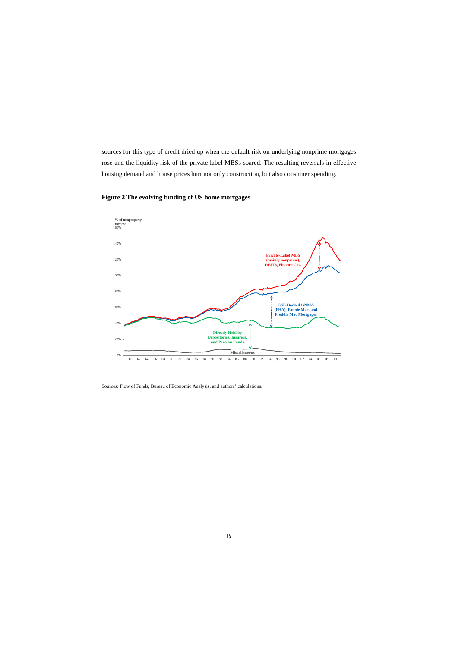sources for this type of credit dried up when the default risk on underlying nonprime mortgages rose and the liquidity risk of the private label MBSs soared. The resulting reversals in effective housing demand and house prices hurt not only construction, but also consumer spending.





Sources: Flow of Funds, Bureau of Economic Analysis, and authors' calculations.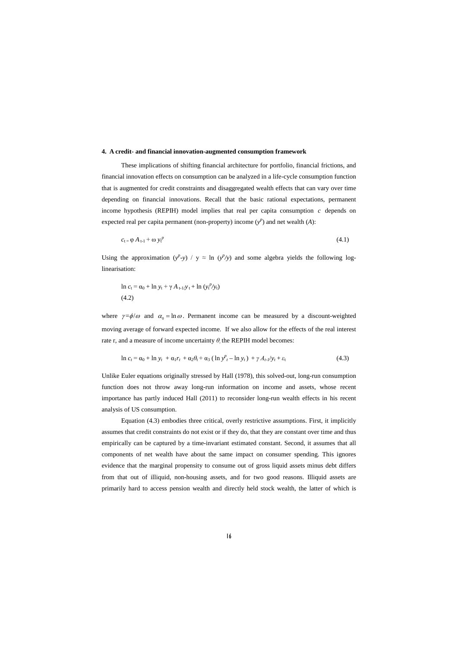#### **4. A credit- and financial innovation-augmented consumption framework**

These implications of shifting financial architecture for portfolio, financial frictions, and financial innovation effects on consumption can be analyzed in a life-cycle consumption function that is augmented for credit constraints and disaggregated wealth effects that can vary over time depending on financial innovations. Recall that the basic rational expectations, permanent income hypothesis (REPIH) model implies that real per capita consumption  $c$  depends on expected real per capita permanent (non-property) income  $(y^p)$  and net wealth (A):

$$
c_{t} = \varphi A_{t-1} + \omega y_t^p \tag{4.1}
$$

Using the approximation  $(y^p-y)$  /  $y \approx \ln(y^p/y)$  and some algebra yields the following loglinearisation:

$$
\ln c_{t} = \alpha_{0} + \ln y_{t} + \gamma A_{t-1}/y_{t} + \ln (y_{t}^{p}/y_{t})
$$
  
(4.2)

where  $\gamma = \phi/\omega$  and  $\alpha_0 = \ln \omega$ . Permanent income can be measured by a discount-weighted moving average of forward expected income. If we also allow for the effects of the real interest rate r, and a measure of income uncertainty  $\theta$ , the REPIH model becomes:

$$
\ln c_t = \alpha_0 + \ln y_t + \alpha_1 r_t + \alpha_2 \theta_t + \alpha_3 (\ln y_t^p - \ln y_t) + \gamma A_{t-1}/y_t + \varepsilon_t
$$
\n(4.3)

Unlike Euler equations originally stressed by Hall (1978), this solved-out, long-run consumption function does not throw away long-run information on income and assets, whose recent importance has partly induced Hall (2011) to reconsider long-run wealth effects in his recent analysis of US consumption.

Equation (4.3) embodies three critical, overly restrictive assumptions. First, it implicitly assumes that credit constraints do not exist or if they do, that they are constant over time and thus empirically can be captured by a time-invariant estimated constant. Second, it assumes that all components of net wealth have about the same impact on consumer spending. This ignores evidence that the marginal propensity to consume out of gross liquid assets minus debt differs from that out of illiquid, non-housing assets, and for two good reasons. Illiquid assets are primarily hard to access pension wealth and directly held stock wealth, the latter of which is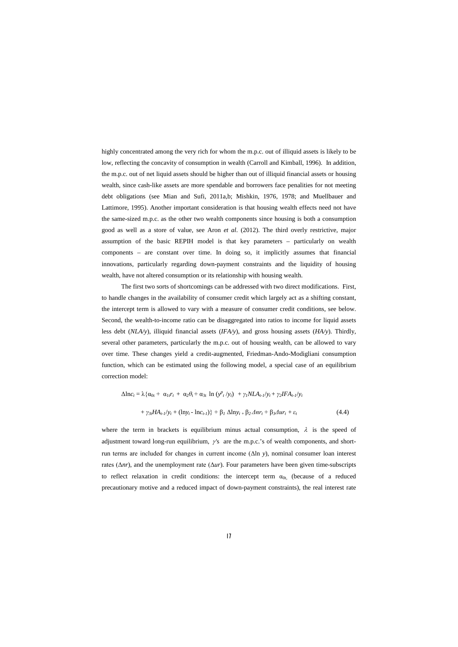highly concentrated among the very rich for whom the m.p.c. out of illiquid assets is likely to be low, reflecting the concavity of consumption in wealth (Carroll and Kimball, 1996). In addition, the m.p.c. out of net liquid assets should be higher than out of illiquid financial assets or housing wealth, since cash-like assets are more spendable and borrowers face penalities for not meeting debt obligations (see Mian and Sufi, 2011a,b; Mishkin, 1976, 1978; and Muellbauer and Lattimore, 1995). Another important consideration is that housing wealth effects need not have the same-sized m.p.c. as the other two wealth components since housing is both a consumption good as well as a store of value, see Aron *et al*. (2012). The third overly restrictive, major assumption of the basic REPIH model is that key parameters – particularly on wealth components – are constant over time. In doing so, it implicitly assumes that financial innovations, particularly regarding down-payment constraints and the liquidity of housing wealth, have not altered consumption or its relationship with housing wealth.

The first two sorts of shortcomings can be addressed with two direct modifications. First, to handle changes in the availability of consumer credit which largely act as a shifting constant, the intercept term is allowed to vary with a measure of consumer credit conditions, see below. Second, the wealth-to-income ratio can be disaggregated into ratios to income for liquid assets less debt (*NLA/y*), illiquid financial assets (*IFA/y*), and gross housing assets (*HA/y*). Thirdly, several other parameters, particularly the m.p.c. out of housing wealth, can be allowed to vary over time. These changes yield a credit-augmented, Friedman-Ando-Modigliani consumption function, which can be estimated using the following model, a special case of an equilibrium correction model:

$$
\Delta \text{ln}c_{t} = \lambda \{ \alpha_{0t} + \alpha_{1t}r_{t} + \alpha_{2}\theta_{t} + \alpha_{3t} \ln (y_{t}^{p} / y_{t}) + \gamma_{1} NLA_{t-1}/y_{t} + \gamma_{2} IFA_{t-1}/y_{t} + \gamma_{3t} HA_{t-1}/y_{t} + (\text{ln}y_{t} - \text{ln}c_{t-1}) \} + \beta_{1} \Delta \text{ln}y_{t} + \beta_{2} \Delta n r_{t} + \beta_{3} \Delta u r_{t} + \varepsilon_{t}
$$
(4.4)

where the term in brackets is equilibrium minus actual consumption,  $\lambda$  is the speed of adjustment toward long-run equilibrium,  $\gamma$ 's are the m.p.c.'s of wealth components, and shortrun terms are included for changes in current income (Δln *y*), nominal consumer loan interest rates ( $\Delta nr$ ), and the unemployment rate ( $\Delta ur$ ). Four parameters have been given time-subscripts to reflect relaxation in credit conditions: the intercept term  $\alpha_{0t}$ , (because of a reduced precautionary motive and a reduced impact of down-payment constraints), the real interest rate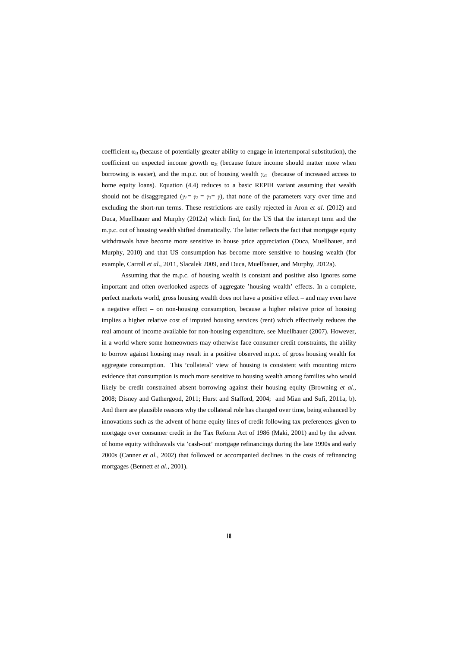coefficient  $\alpha_{1t}$  (because of potentially greater ability to engage in intertemporal substitution), the coefficient on expected income growth  $\alpha_{3t}$  (because future income should matter more when borrowing is easier), and the m.p.c. out of housing wealth *γ3t* (because of increased access to home equity loans). Equation (4.4) reduces to a basic REPIH variant assuming that wealth should not be disaggregated ( $\gamma_1 = \gamma_2 = \gamma_3 = \gamma$ ), that none of the parameters vary over time and excluding the short-run terms. These restrictions are easily rejected in Aron *et al*. (2012) and Duca, Muellbauer and Murphy (2012a) which find, for the US that the intercept term and the m.p.c. out of housing wealth shifted dramatically. The latter reflects the fact that mortgage equity withdrawals have become more sensitive to house price appreciation (Duca, Muellbauer, and Murphy, 2010) and that US consumption has become more sensitive to housing wealth (for example, Carroll *et al*., 2011, Slacalek 2009, and Duca, Muellbauer, and Murphy, 2012a).

Assuming that the m.p.c. of housing wealth is constant and positive also ignores some important and often overlooked aspects of aggregate 'housing wealth' effects. In a complete, perfect markets world, gross housing wealth does not have a positive effect – and may even have a negative effect – on non-housing consumption, because a higher relative price of housing implies a higher relative cost of imputed housing services (rent) which effectively reduces the real amount of income available for non-housing expenditure, see Muellbauer (2007). However, in a world where some homeowners may otherwise face consumer credit constraints, the ability to borrow against housing may result in a positive observed m.p.c. of gross housing wealth for aggregate consumption. This 'collateral' view of housing is consistent with mounting micro evidence that consumption is much more sensitive to housing wealth among families who would likely be credit constrained absent borrowing against their housing equity (Browning *et al*., 2008; Disney and Gathergood, 2011; Hurst and Stafford, 2004; and Mian and Sufi, 2011a, b). And there are plausible reasons why the collateral role has changed over time, being enhanced by innovations such as the advent of home equity lines of credit following tax preferences given to mortgage over consumer credit in the Tax Reform Act of 1986 (Maki, 2001) and by the advent of home equity withdrawals via 'cash-out' mortgage refinancings during the late 1990s and early 2000s (Canner *et al*., 2002) that followed or accompanied declines in the costs of refinancing mortgages (Bennett *et al*., 2001).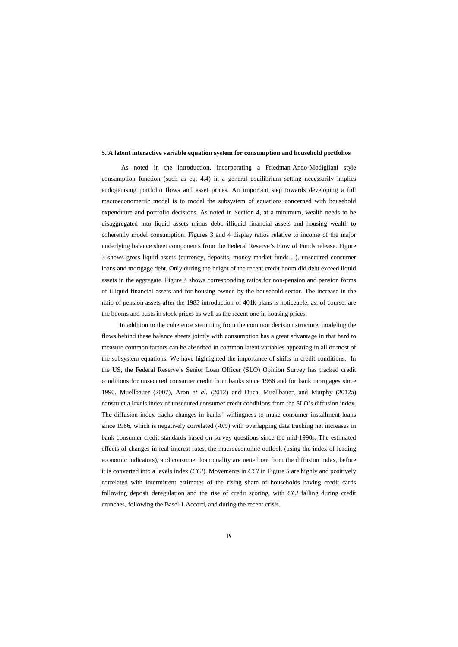#### **5. A latent interactive variable equation system for consumption and household portfolios**

As noted in the introduction, incorporating a Friedman-Ando-Modigliani style consumption function (such as eq. 4.4) in a general equilibrium setting necessarily implies endogenising portfolio flows and asset prices. An important step towards developing a full macroeconometric model is to model the subsystem of equations concerned with household expenditure and portfolio decisions. As noted in Section 4, at a minimum, wealth needs to be disaggregated into liquid assets minus debt, illiquid financial assets and housing wealth to coherently model consumption. Figures 3 and 4 display ratios relative to income of the major underlying balance sheet components from the Federal Reserve's Flow of Funds release. Figure 3 shows gross liquid assets (currency, deposits, money market funds…), unsecured consumer loans and mortgage debt. Only during the height of the recent credit boom did debt exceed liquid assets in the aggregate. Figure 4 shows corresponding ratios for non-pension and pension forms of illiquid financial assets and for housing owned by the household sector. The increase in the ratio of pension assets after the 1983 introduction of 401k plans is noticeable, as, of course, are the booms and busts in stock prices as well as the recent one in housing prices.

 In addition to the coherence stemming from the common decision structure, modeling the flows behind these balance sheets jointly with consumption has a great advantage in that hard to measure common factors can be absorbed in common latent variables appearing in all or most of the subsystem equations. We have highlighted the importance of shifts in credit conditions. In the US, the Federal Reserve's Senior Loan Officer (SLO) Opinion Survey has tracked credit conditions for unsecured consumer credit from banks since 1966 and for bank mortgages since 1990. Muellbauer (2007), Aron *et al*. (2012) and Duca, Muellbauer, and Murphy (2012a) construct a levels index of unsecured consumer credit conditions from the SLO's diffusion index. The diffusion index tracks changes in banks' willingness to make consumer installment loans since 1966, which is negatively correlated (-0.9) with overlapping data tracking net increases in bank consumer credit standards based on survey questions since the mid-1990s. The estimated effects of changes in real interest rates, the macroeconomic outlook (using the index of leading economic indicators), and consumer loan quality are netted out from the diffusion index, before it is converted into a levels index (*CCI*). Movements in *CCI* in Figure 5 are highly and positively correlated with intermittent estimates of the rising share of households having credit cards following deposit deregulation and the rise of credit scoring, with *CCI* falling during credit crunches, following the Basel 1 Accord, and during the recent crisis.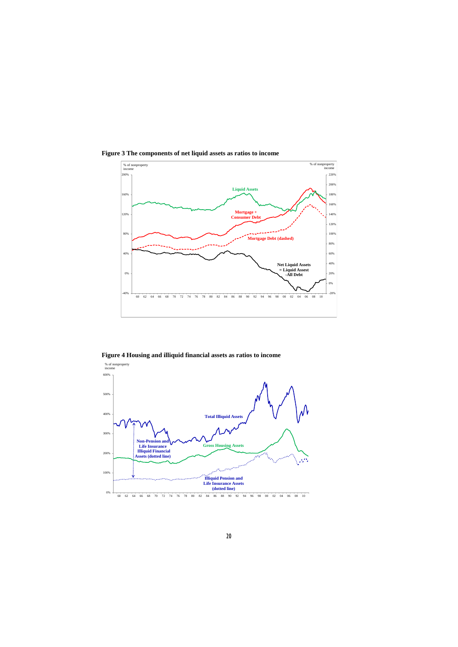

**Figure 3 The components of net liquid assets as ratios to income**

**Figure 4 Housing and illiquid financial assets as ratios to income**

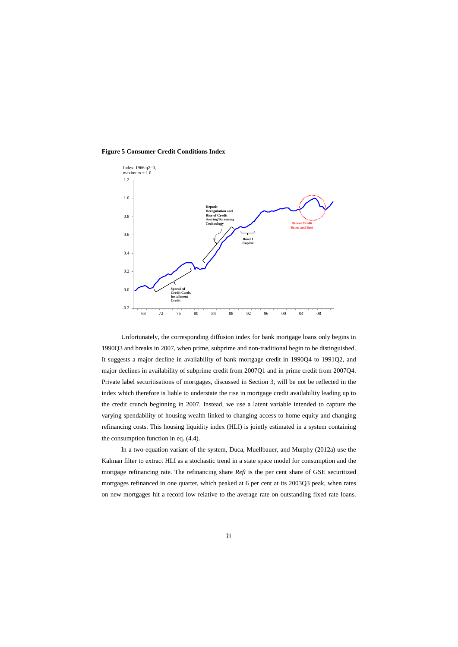

#### **Figure 5 Consumer Credit Conditions Index**

Unfortunately, the corresponding diffusion index for bank mortgage loans only begins in 1990Q3 and breaks in 2007, when prime, subprime and non-traditional begin to be distinguished. It suggests a major decline in availability of bank mortgage credit in 1990Q4 to 1991Q2, and major declines in availability of subprime credit from 2007Q1 and in prime credit from 2007Q4. Private label securitisations of mortgages, discussed in Section 3, will be not be reflected in the index which therefore is liable to understate the rise in mortgage credit availability leading up to the credit crunch beginning in 2007. Instead, we use a latent variable intended to capture the varying spendability of housing wealth linked to changing access to home equity and changing refinancing costs. This housing liquidity index (HLI) is jointly estimated in a system containing the consumption function in eq. (4.4).

In a two-equation variant of the system, Duca, Muellbauer, and Murphy (2012a) use the Kalman filter to extract HLI as a stochastic trend in a state space model for consumption and the mortgage refinancing rate. The refinancing share *Refi* is the per cent share of GSE securitized mortgages refinanced in one quarter, which peaked at 6 per cent at its 2003Q3 peak, when rates on new mortgages hit a record low relative to the average rate on outstanding fixed rate loans.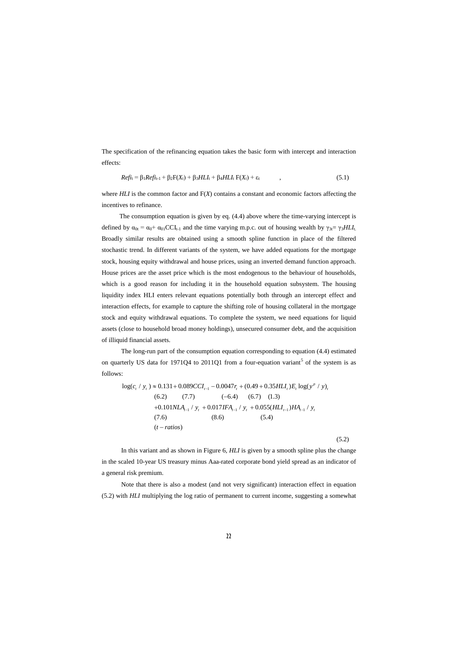The specification of the refinancing equation takes the basic form with intercept and interaction effects:

$$
Refi_t = \beta_1 Refi_{t-1} + \beta_2 F(X_t) + \beta_3 HLI_t + \beta_4 HLI_t F(X_t) + \varepsilon_t , \qquad (5.1)
$$

where *HLI* is the common factor and F(*X*) contains a constant and economic factors affecting the incentives to refinance.

 The consumption equation is given by eq. (4.4) above where the time-varying intercept is defined by  $\alpha_{0t} = \alpha_0 + \alpha_{01} CCI_{t-1}$  and the time varying m.p.c. out of housing wealth by  $\gamma_{3t} = \gamma_3 H L I_{t}$ . Broadly similar results are obtained using a smooth spline function in place of the filtered stochastic trend. In different variants of the system, we have added equations for the mortgage stock, housing equity withdrawal and house prices, using an inverted demand function approach. House prices are the asset price which is the most endogenous to the behaviour of households, which is a good reason for including it in the household equation subsystem. The housing liquidity index HLI enters relevant equations potentially both through an intercept effect and interaction effects, for example to capture the shifting role of housing collateral in the mortgage stock and equity withdrawal equations. To complete the system, we need equations for liquid assets (close to household broad money holdings), unsecured consumer debt, and the acquisition of illiquid financial assets.

The long-run part of the consumption equation corresponding to equation (4.4) estimated on quarterly US data for 1971Q4 to 2011Q1 from a four-equation variant<sup>[5](#page-33-0)</sup> of the system is as follows:

$$
\log(c_t / y_t) \approx 0.131 + 0.089CCI_{t-1} - 0.0047r_t + (0.49 + 0.35HLI_t)E_t \log(y^p / y)_t
$$
  
(6.2) (7.7) (-6.4) (6.7) (1.3)  
+0.101NLA\_{t-1} / y\_t + 0.017IFA\_{t-1} / y\_t + 0.055(HLI\_{t-1})HA\_{t-1} / y\_t  
(7.6) (8.6) (5.4)  
(t - ratios)

 $(5.2)$ 

In this variant and as shown in Figure 6, *HLI* is given by a smooth spline plus the change in the scaled 10-year US treasury minus Aaa-rated corporate bond yield spread as an indicator of a general risk premium.

Note that there is also a modest (and not very significant) interaction effect in equation (5.2) with *HLI* multiplying the log ratio of permanent to current income, suggesting a somewhat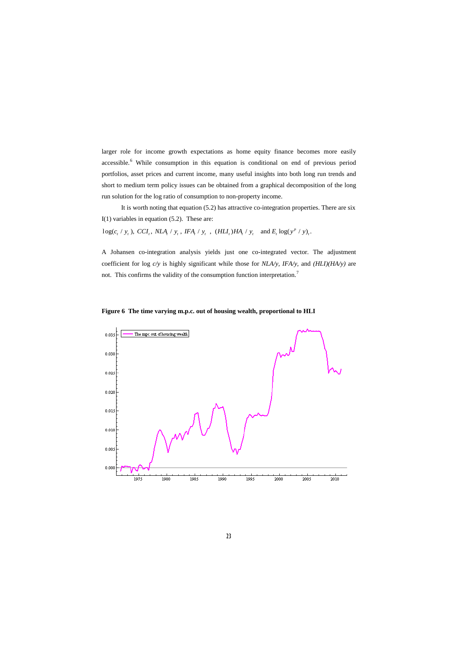larger role for income growth expectations as home equity finance becomes more easily accessible.<sup>[6](#page-34-0)</sup> While consumption in this equation is conditional on end of previous period portfolios, asset prices and current income, many useful insights into both long run trends and short to medium term policy issues can be obtained from a graphical decomposition of the long run solution for the log ratio of consumption to non-property income.

It is worth noting that equation (5.2) has attractive co-integration properties. There are six  $I(1)$  variables in equation  $(5.2)$ . These are:

 $log(c_t / y_t)$ , CCI<sub>t</sub>, NLA<sub>t</sub> /  $y_t$ , IFA<sub>t</sub> /  $y_t$ , (HLI<sub>t</sub>)HA<sub>t</sub> /  $y_t$  and E<sub>t</sub> log( $y^p$  /  $y$ )<sub>t</sub>.

A Johansen co-integration analysis yields just one co-integrated vector. The adjustment coefficient for log *c/y* is highly significant while those for *NLA/y, IFA/y,* and *(HLI)(HA/y)* are not. This confirms the validity of the consumption function interpretation.[7](#page-34-1)



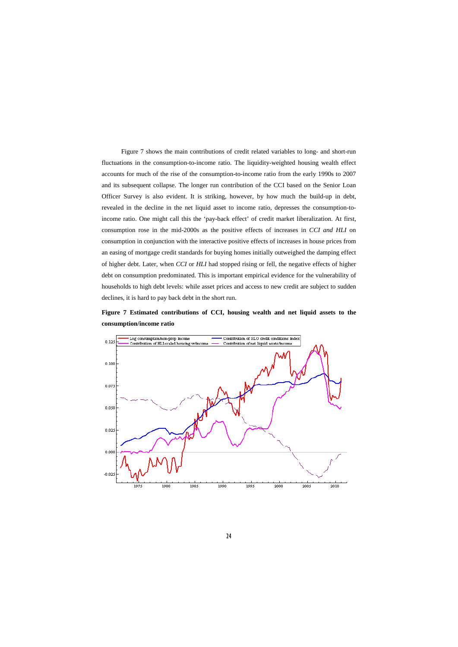Figure 7 shows the main contributions of credit related variables to long- and short-run fluctuations in the consumption-to-income ratio. The liquidity-weighted housing wealth effect accounts for much of the rise of the consumption-to-income ratio from the early 1990s to 2007 and its subsequent collapse. The longer run contribution of the CCI based on the Senior Loan Officer Survey is also evident. It is striking, however, by how much the build-up in debt, revealed in the decline in the net liquid asset to income ratio, depresses the consumption-toincome ratio. One might call this the 'pay-back effect' of credit market liberalization. At first, consumption rose in the mid-2000s as the positive effects of increases in *CCI and HLI* on consumption in conjunction with the interactive positive effects of increases in house prices from an easing of mortgage credit standards for buying homes initially outweighed the damping effect of higher debt. Later, when *CCI* or *HLI* had stopped rising or fell, the negative effects of higher debt on consumption predominated. This is important empirical evidence for the vulnerability of households to high debt levels: while asset prices and access to new credit are subject to sudden declines, it is hard to pay back debt in the short run.



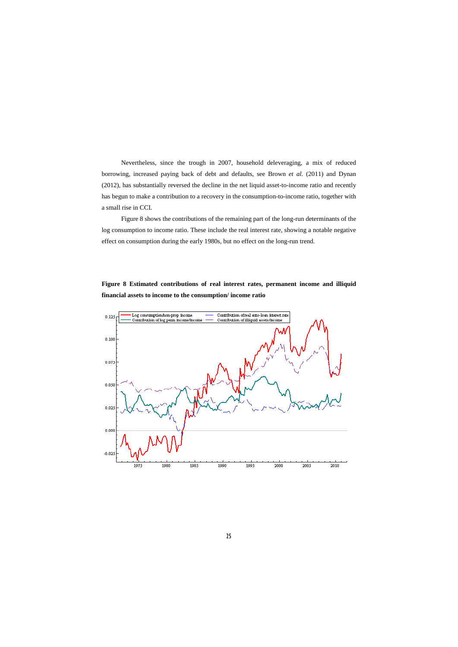Nevertheless, since the trough in 2007, household deleveraging, a mix of reduced borrowing, increased paying back of debt and defaults, see Brown *et al.* (2011) and Dynan (2012), has substantially reversed the decline in the net liquid asset-to-income ratio and recently has begun to make a contribution to a recovery in the consumption-to-income ratio, together with a small rise in CCI.

Figure 8 shows the contributions of the remaining part of the long-run determinants of the log consumption to income ratio. These include the real interest rate, showing a notable negative effect on consumption during the early 1980s, but no effect on the long-run trend.

### **Figure 8 Estimated contributions of real interest rates, permanent income and illiquid financial assets to income to the consumption/ income ratio**

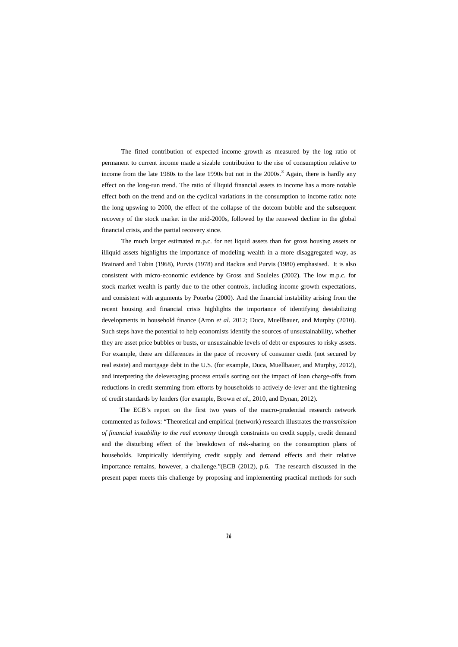The fitted contribution of expected income growth as measured by the log ratio of permanent to current income made a sizable contribution to the rise of consumption relative to income from the late 19[8](#page-34-2)0s to the late 1990s but not in the  $2000s$ .<sup>8</sup> Again, there is hardly any effect on the long-run trend. The ratio of illiquid financial assets to income has a more notable effect both on the trend and on the cyclical variations in the consumption to income ratio: note the long upswing to 2000, the effect of the collapse of the dotcom bubble and the subsequent recovery of the stock market in the mid-2000s, followed by the renewed decline in the global financial crisis, and the partial recovery since.

The much larger estimated m.p.c. for net liquid assets than for gross housing assets or illiquid assets highlights the importance of modeling wealth in a more disaggregated way, as Brainard and Tobin (1968), Purvis (1978) and Backus and Purvis (1980) emphasised. It is also consistent with micro-economic evidence by Gross and Souleles (2002). The low m.p.c. for stock market wealth is partly due to the other controls, including income growth expectations, and consistent with arguments by Poterba (2000). And the financial instability arising from the recent housing and financial crisis highlights the importance of identifying destabilizing developments in household finance (Aron *et al*. 2012; Duca, Muellbauer, and Murphy (2010). Such steps have the potential to help economists identify the sources of unsustainability, whether they are asset price bubbles or busts, or unsustainable levels of debt or exposures to risky assets. For example, there are differences in the pace of recovery of consumer credit (not secured by real estate) and mortgage debt in the U.S. (for example, Duca, Muellbauer, and Murphy, 2012), and interpreting the deleveraging process entails sorting out the impact of loan charge-offs from reductions in credit stemming from efforts by households to actively de-lever and the tightening of credit standards by lenders (for example, Brown *et al*., 2010, and Dynan, 2012).

 The ECB's report on the first two years of the macro-prudential research network commented as follows: "Theoretical and empirical (network) research illustrates the *transmission of financial instability to the real economy* through constraints on credit supply, credit demand and the disturbing effect of the breakdown of risk-sharing on the consumption plans of households. Empirically identifying credit supply and demand effects and their relative importance remains, however, a challenge."(ECB (2012), p.6. The research discussed in the present paper meets this challenge by proposing and implementing practical methods for such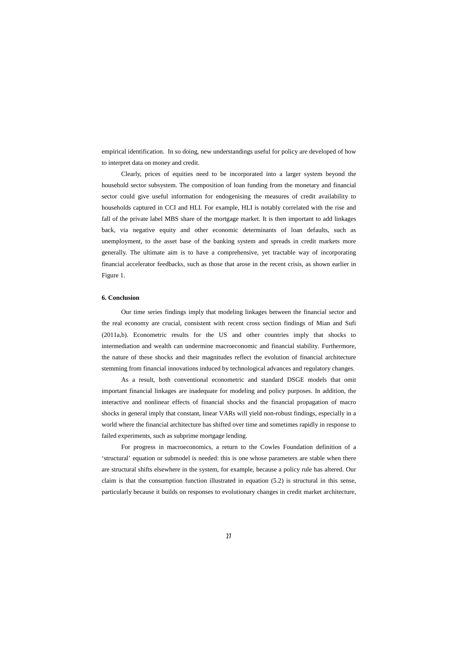empirical identification. In so doing, new understandings useful for policy are developed of how to interpret data on money and credit.

Clearly, prices of equities need to be incorporated into a larger system beyond the household sector subsystem. The composition of loan funding from the monetary and financial sector could give useful information for endogenising the measures of credit availability to households captured in CCI and HLI. For example, HLI is notably correlated with the rise and fall of the private label MBS share of the mortgage market. It is then important to add linkages back, via negative equity and other economic determinants of loan defaults, such as unemployment, to the asset base of the banking system and spreads in credit markets more generally. The ultimate aim is to have a comprehensive, yet tractable way of incorporating financial accelerator feedbacks, such as those that arose in the recent crisis, as shown earlier in Figure 1.

#### **6. Conclusion**

Our time series findings imply that modeling linkages between the financial sector and the real economy are crucial, consistent with recent cross section findings of Mian and Sufi (2011a,b). Econometric results for the US and other countries imply that shocks to intermediation and wealth can undermine macroeconomic and financial stability. Furthermore, the nature of these shocks and their magnitudes reflect the evolution of financial architecture stemming from financial innovations induced by technological advances and regulatory changes.

As a result, both conventional econometric and standard DSGE models that omit important financial linkages are inadequate for modeling and policy purposes. In addition, the interactive and nonlinear effects of financial shocks and the financial propagation of macro shocks in general imply that constant, linear VARs will yield non-robust findings, especially in a world where the financial architecture has shifted over time and sometimes rapidly in response to failed experiments, such as subprime mortgage lending.

For progress in macroeconomics, a return to the Cowles Foundation definition of a 'structural' equation or submodel is needed: this is one whose parameters are stable when there are structural shifts elsewhere in the system, for example, because a policy rule has altered. Our claim is that the consumption function illustrated in equation (5.2) is structural in this sense, particularly because it builds on responses to evolutionary changes in credit market architecture,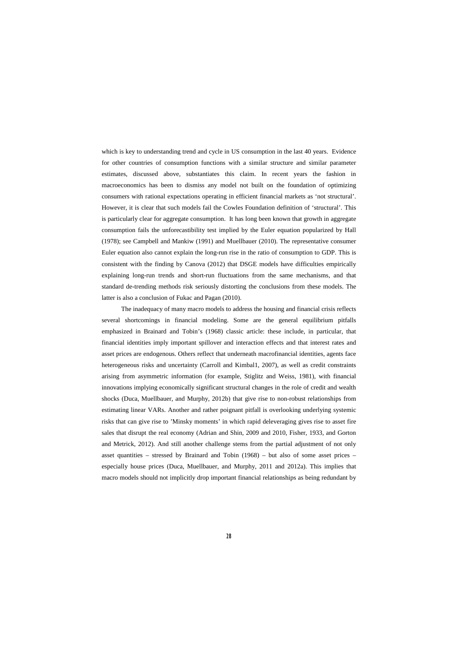which is key to understanding trend and cycle in US consumption in the last 40 years. Evidence for other countries of consumption functions with a similar structure and similar parameter estimates, discussed above, substantiates this claim. In recent years the fashion in macroeconomics has been to dismiss any model not built on the foundation of optimizing consumers with rational expectations operating in efficient financial markets as 'not structural'. However, it is clear that such models fail the Cowles Foundation definition of 'structural'. This is particularly clear for aggregate consumption. It has long been known that growth in aggregate consumption fails the unforecastibility test implied by the Euler equation popularized by Hall (1978); see Campbell and Mankiw (1991) and Muellbauer (2010). The representative consumer Euler equation also cannot explain the long-run rise in the ratio of consumption to GDP. This is consistent with the finding by Canova (2012) that DSGE models have difficulties empirically explaining long-run trends and short-run fluctuations from the same mechanisms, and that standard de-trending methods risk seriously distorting the conclusions from these models. The latter is also a conclusion of Fukac and Pagan (2010).

 The inadequacy of many macro models to address the housing and financial crisis reflects several shortcomings in financial modeling. Some are the general equilibrium pitfalls emphasized in Brainard and Tobin's (1968) classic article: these include, in particular, that financial identities imply important spillover and interaction effects and that interest rates and asset prices are endogenous. Others reflect that underneath macrofinancial identities, agents face heterogeneous risks and uncertainty (Carroll and Kimbal1, 2007), as well as credit constraints arising from asymmetric information (for example, Stiglitz and Weiss, 1981), with financial innovations implying economically significant structural changes in the role of credit and wealth shocks (Duca, Muellbauer, and Murphy, 2012b) that give rise to non-robust relationships from estimating linear VARs. Another and rather poignant pitfall is overlooking underlying systemic risks that can give rise to 'Minsky moments' in which rapid deleveraging gives rise to asset fire sales that disrupt the real economy (Adrian and Shin, 2009 and 2010, Fisher, 1933, and Gorton and Metrick, 2012). And still another challenge stems from the partial adjustment of not only asset quantities – stressed by Brainard and Tobin (1968) – but also of some asset prices – especially house prices (Duca, Muellbauer, and Murphy, 2011 and 2012a). This implies that macro models should not implicitly drop important financial relationships as being redundant by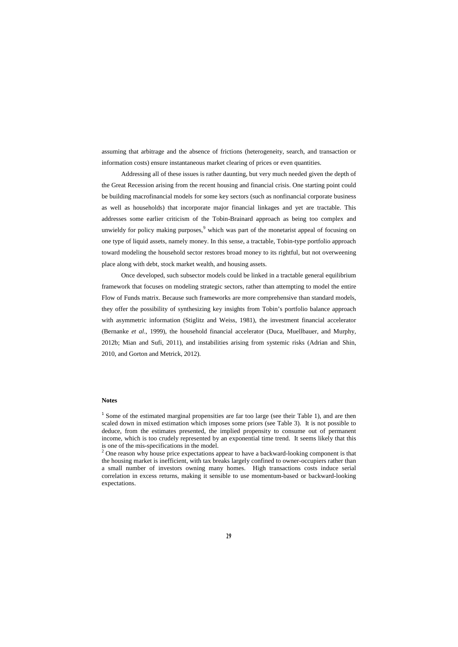assuming that arbitrage and the absence of frictions (heterogeneity, search, and transaction or information costs) ensure instantaneous market clearing of prices or even quantities.

Addressing all of these issues is rather daunting, but very much needed given the depth of the Great Recession arising from the recent housing and financial crisis. One starting point could be building macrofinancial models for some key sectors (such as nonfinancial corporate business as well as households) that incorporate major financial linkages and yet are tractable. This addresses some earlier criticism of the Tobin-Brainard approach as being too complex and unwieldy for policy making purposes,  $9$  which was part of the monetarist appeal of focusing on one type of liquid assets, namely money. In this sense, a tractable, Tobin-type portfolio approach toward modeling the household sector restores broad money to its rightful, but not overweening place along with debt, stock market wealth, and housing assets.

Once developed, such subsector models could be linked in a tractable general equilibrium framework that focuses on modeling strategic sectors, rather than attempting to model the entire Flow of Funds matrix. Because such frameworks are more comprehensive than standard models, they offer the possibility of synthesizing key insights from Tobin's portfolio balance approach with asymmetric information (Stiglitz and Weiss, 1981), the investment financial accelerator (Bernanke *et al*., 1999), the household financial accelerator (Duca, Muellbauer, and Murphy, 2012b; Mian and Sufi, 2011), and instabilities arising from systemic risks (Adrian and Shin, 2010, and Gorton and Metrick, 2012).

#### **Notes**

 $1$  Some of the estimated marginal propensities are far too large (see their Table 1), and are then scaled down in mixed estimation which imposes some priors (see Table 3). It is not possible to deduce, from the estimates presented, the implied propensity to consume out of permanent income, which is too crudely represented by an exponential time trend. It seems likely that this is one of the mis-specifications in the model.

 $2^2$  One reason why house price expectations appear to have a backward-looking component is that the housing market is inefficient, with tax breaks largely confined to owner-occupiers rather than a small number of investors owning many homes. High transactions costs induce serial correlation in excess returns, making it sensible to use momentum-based or backward-looking expectations.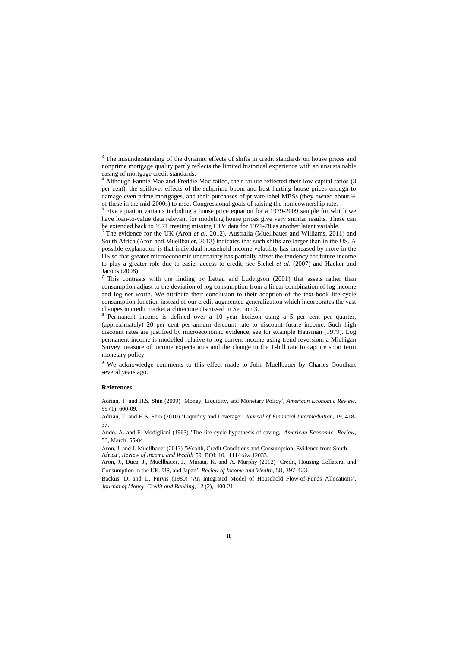<sup>3</sup> The misunderstanding of the dynamic effects of shifts in credit standards on house prices and nonprime mortgage quality partly reflects the limited historical experience with an unsustainable easing of mortgage credit standards.

 $^4$  Although Fannie Mae and Freddie Mac failed, their failure reflected their low capital ratios (3) per cent), the spillover effects of the subprime boom and bust hurting house prices enough to damage even prime mortgages, and their purchases of private-label MBSs (they owned about  $\frac{1}{4}$ of these in the mid-2000s) to meet Congressional goals of raising the homeownership rate.

 $<sup>5</sup>$  Five equation variants including a house price equation for a 1979-2009 sample for which we</sup> have loan-to-value data relevant for modeling house prices give very similar results. These can be extended back to 1971 treating missing LTV data for 1971-78 as another latent variable.

<sup>6</sup> The evidence for the UK (Aron *et al*. 2012), Australia (Muellbauer and Williams, 2011) and South Africa (Aron and Muellbauer, 2013) indicates that such shifts are larger than in the US. A possible explanation is that individual household income volatility has increased by more in the US so that greater microeconomic uncertainty has partially offset the tendency for future income to play a greater role due to easier access to credit; see Sichel *et al*. (2007) and Hacker and Jacobs (2008).

 $<sup>7</sup>$  This contrasts with the finding by Lettau and Ludvigson (2001) that assets rather than</sup> consumption adjust to the deviation of log consumption from a linear combination of log income and log net worth. We attribute their conclusion to their adoption of the text-book life-cycle consumption function instead of our credit-augmented generalization which incorporates the vast changes in credit market architecture discussed in Section 3.

<sup>8</sup> Permanent income is defined over a 10 year horizon using a 5 per cent per quarter, (approximately) 20 per cent per annum discount rate to discount future income. Such high discount rates are justified by microeconomic evidence, see for example Hausman (1979). Log permanent income is modelled relative to log current income using trend reversion, a Michigan Survey measure of income expectations and the change in the T-bill rate to capture short term monetary policy.

<sup>9</sup> We acknowledge comments to this effect made to John Muellbauer by Charles Goodhart several years ago.

#### **References**

Adrian, T. and H.S. Shin (2009) 'Money, Liquidity, and Monetary Policy', *American Economic Review,*  99 (1), 600-09.

Adrian, T. and H.S. Shin (2010) 'Liquidity and Leverage', *Journal of Financial Intermediation*, 19, 418- 37.

Ando, A. and F. Modigliani (1963) 'The life cycle hypothesis of saving,, *American Economic Review*, 53, March, 55-84.

Aron, J. and J. Muellbauer (2013) 'Wealth, Credit Conditions and Consumption: Evidence from South Africa', *Review of Income and Wealth*, 59, DOI: 10.1111/roiw.12033.

Aron, J., Duca, J., Muellbauer, J., Murata, K. and A. Murphy (2012) 'Credit, Housing Collateral and Consumption in the UK, US, and Japan', *Review of Income and Wealth,* 58, 397-423.

<span id="page-31-1"></span><span id="page-31-0"></span>Backus, D. and D. Purvis (1980) ['An Integrated Model of Household Flow-of-Funds Allocations'](http://ideas.repec.org/a/mcb/jmoncb/v12y1980i2p400-421.html), *[Journal of Money, Credit and Banking](http://ideas.repec.org/s/mcb/jmoncb.html)*, 12 (2), 400-21.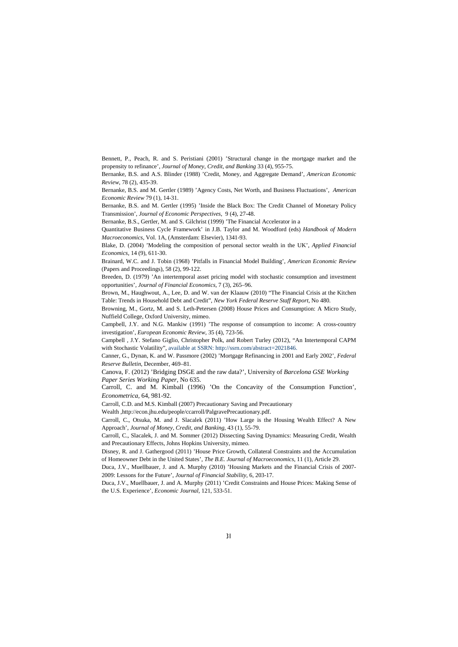Bennett, P., Peach, R. and S. Peristiani (2001) 'Structural change in the mortgage market and the propensity to refinance', *Journal of Money, Credit, and Banking* 33 (4), 955-75.

Bernanke, B.S. and A.S. Blinder (1988) 'Credit, Money, and Aggregate Demand', *American Economic Review*, 78 (2), 435-39.

Bernanke, B.S. and M. Gertler (1989) 'Agency Costs, Net Worth, and Business Fluctuations', *American Economic Review* 79 (1), 14-31.

Bernanke, B.S. and M. Gertler (1995) 'Inside the Black Box: The Credit Channel of Monetary Policy Transmission', *Journal of Economic Perspectives*, 9 (4), 27-48.

Bernanke, B.S., Gertler, M. and S. Gilchrist (1999) 'The Financial Accelerator in a

Quantitative Business Cycle Framework' in J.B. Taylor and M. Woodford (eds) *Handbook of Modern Macroeconomics*, Vol. 1A, (Amsterdam: Elsevier), 1341-93.

Blake, D. (2004) ['Modeling the composition of personal sector wealth in the UK'](http://ideas.repec.org/a/taf/apfiec/v14y2004i9p611-630.html), *[Applied Financial](http://ideas.repec.org/s/taf/apfiec.html)  [Economics](http://ideas.repec.org/s/taf/apfiec.html)*, 14 (9), 611-30.

<span id="page-32-0"></span>Brainard, W.C. and J. Tobin (1968) 'Pitfalls in Financial Model Building', *American Economic Review*  (Papers and Proceedings), 58 (2), 99-122.

Breeden, D. (1979) 'An intertemporal asset pricing model with stochastic consumption and investment opportunities'*, Journal of Financial Economics,* 7 (3), 265–96.

<span id="page-32-1"></span>Brown, M., Haughwout, A., Lee, D. and W. van der Klaauw (2010) "The Financial Crisis at the Kitchen Table: Trends in Household Debt and Credit", *New York Federal Reserve Staff Report,* No 480.

Browning, M., Gortz, M. and S. Leth-Petersen (2008) House Prices and Consumption: A Micro Study, Nuffield College, Oxford University, mimeo.

Campbell, J.Y. and N.G. Mankiw (1991) ['The response of consumption to income: A cross-country](http://ideas.repec.org/a/eee/eecrev/v35y1991i4p723-756.html)  [investigation'](http://ideas.repec.org/a/eee/eecrev/v35y1991i4p723-756.html), *[European Economic Review](http://ideas.repec.org/s/eee/eecrev.html)*, 35 (4), 723-56.

Campbell , J.Y. Stefano Giglio, Christopher Polk, and Robert Turley (2012), "An Intertemporal CAPM with Stochastic Volatility", available at SSRN: http://ssrn.com/abstract=2021846.

Canner, G., Dynan, K. and W. Passmore (2002) 'Mortgage Refinancing in 2001 and Early 2002', *Federal Reserve Bulletin*, December, 469–81.

Canova, F. (2012) 'Bridging DSGE and the raw data?', University of *Barcelona GSE Working Paper Series Working Paper*, No 635.

Carroll, C. and M. Kimball (1996) 'On the Concavity of the Consumption Function', *Econometrica,* 64, 981-92.

Carroll, C.D. and M.S. Kimball (2007) Precautionary Saving and Precautionary

Wealth [,http://econ.jhu.edu/people/ccarroll/PalgravePrecautionary.pdf.](http://econ.jhu.edu/people/ccarroll/PalgravePrecautionary.pdf)

Carroll, C., Otsuka, M. and J. Slacalek (2011) 'How Large is the Housing Wealth Effect? A New Approach', *Journal of Money, Credit, and Banking*, 43 (1), 55-79.

Carroll, C., Slacalek, J. and M. Sommer (2012) Dissecting Saving Dynamics: Measuring Credit, Wealth and Precautionary Effects, Johns Hopkins University, mimeo*.*

Disney, R. and J. Gathergood (2011) 'House Price Growth, Collateral Constraints and the Accumulation of Homeowner Debt in the United States', *The B.E. Journal of Macroeconomics,* 11 (1), Article 29.

Duca, J.V., Muellbauer, J. and A. Murphy (2010) 'Housing Markets and the Financial Crisis of 2007- 2009: Lessons for the Future', *Journal of Financial Stability,* 6, 203-17.

Duca, J.V., Muellbauer, J. and A. Murphy (2011) 'Credit Constraints and House Prices: Making Sense of the U.S. Experience', *Economic Journal,* 121, 533-51.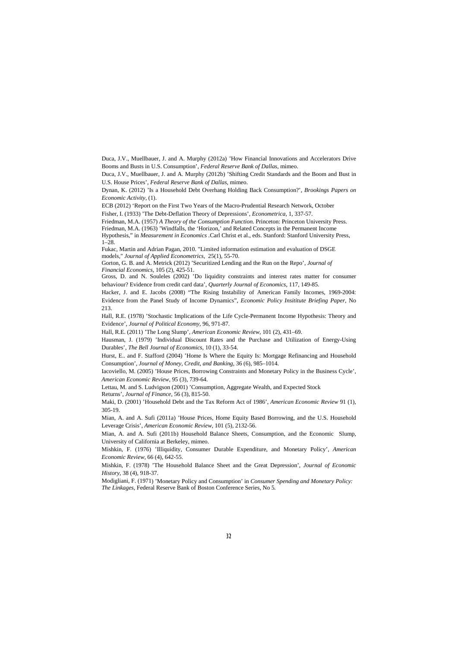Duca, J.V., Muellbauer, J. and A. Murphy (2012a) 'How Financial Innovations and Accelerators Drive Booms and Busts in U.S. Consumption', *Federal Reserve Bank of Dallas,* mimeo.

Duca, J.V., Muellbauer, J. and A. Murphy (2012b) 'Shifting Credit Standards and the Boom and Bust in U.S. House Prices', *Federal Reserve Bank of Dallas*, mimeo.

Dynan, K. (2012) 'Is a Household Debt Overhang Holding Back Consumption?', *Brookings Papers on Economic Activity,* (1).

ECB (2012) 'Report on the First Two Years of the Macro-Prudential Research Network, October

Fisher, I. (1933) 'The Debt-Deflation Theory of Depressions', *Econometrica,* 1, 337-57.

Friedman, M.A. (1957) *A Theory of the Consumption Function.* Princeton: Princeton University Press.

Friedman, M.A. (1963) 'Windfalls, the 'Horizon,' and Related Concepts in the Permanent Income Hypothesis," in *Measurement in Economics .*Carl Christ et al., eds. Stanford: Stanford University Press, 1–28.

Fukac, Martin and Adrian Pagan, 2010. ["Limited information estimation and evaluation of DSGE](http://ideas.repec.org/a/jae/japmet/v25y2010i1p55-70.html)  [models,](http://ideas.repec.org/a/jae/japmet/v25y2010i1p55-70.html)" *[Journal of Applied Econometrics](http://ideas.repec.org/s/jae/japmet.html)*, 25(1), 55-70.

Gorton, G. B. and A. Metrick (2012) 'Securitized Lending and the Run on the Repo', *Journal of Financial Economics,* 105 (2), 425-51.

Gross, D. and N. Souleles (2002) 'Do liquidity constraints and interest rates matter for consumer behaviour? Evidence from credit card data', *Quarterly Journal of Economics*, 117, 149-85.

[Hacker,](http://www.epi.org/people/jacob-hacker/) J. and [E. Jacobs](http://www.epi.org/people/elisabeth-jacobs/) (2008) "The Rising Instability of American Family Incomes, 1969-2004: Evidence from the Panel Study of Income Dynamics", *Economic Policy Insititute Briefing Paper,* No 213.

<span id="page-33-0"></span>Hall, R.E. (1978) 'Stochastic Implications of the Life Cycle-Permanent Income Hypothesis: Theory and Evidence', *Journal of Political Economy*, 96, 971-87.

Hall, R.E. (2011) 'The Long Slump', *American Economic Review*, 101 (2), 431–69.

Hausman, J. (1979) 'Individual Discount Rates and the Purchase and Utilization of Energy-Using Durables', *The Bell Journal of Economics*, 10 (1), 33-54.

Hurst, E.. and F. Stafford (2004) 'Home Is Where the Equity Is: Mortgage Refinancing and Household Consumption', *Journal of Money, Credit, and Banking,* 36 (6), 985–1014.

Iacoviello, M. (2005) 'House Prices, Borrowing Constraints and Monetary Policy in the Business Cycle', *American Economic Review,* 95 (3), 739-64.

Lettau, M. and S. Ludvigson (2001) 'Consumption, Aggregate Wealth, and Expected Stock Returns', *Journal of Finance*, 56 (3), 815-50.

Maki, D. (2001) 'Household Debt and the Tax Reform Act of 1986', *American Economic Review* 91 (1), 305-19.

Mian, A. and A. Sufi (2011a) 'House Prices, Home Equity Based Borrowing, and the U.S. Household Leverage Crisis', *American Economic Review,* 101 (5), 2132-56.

Mian, A. and A. Sufi (2011b) Household Balance Sheets, Consumption, and the Economic Slump, University of California at Berkeley, mimeo.

Mishkin, F. (1976) 'Illiquidity, Consumer Durable Expenditure, and Monetary Policy', *American Economic Review,* 66 (4), 642-55.

Mishkin, F. (1978) 'The Household Balance Sheet and the Great Depression', *Journal of Economic History,* 38 (4), 918-37.

Modigliani, F. (1971) 'Monetary Policy and Consumption' in *Consumer Spending and Monetary Policy: The Linkages*, Federal Reserve Bank of Boston Conference Series, No 5*.*